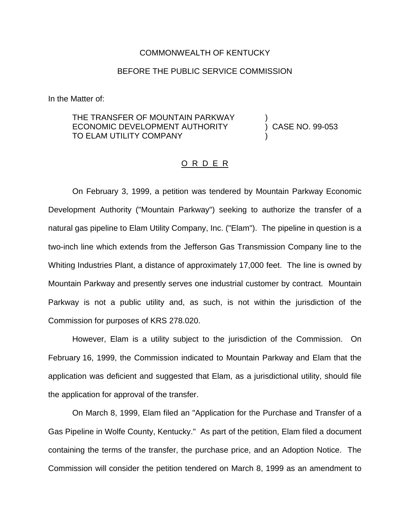## COMMONWEALTH OF KENTUCKY

## BEFORE THE PUBLIC SERVICE COMMISSION

In the Matter of:

THE TRANSFER OF MOUNTAIN PARKWAY )<br>ECONOMIC DEVELOPMENT AUTHORITY ) CASE NO. 99-053 ECONOMIC DEVELOPMENT AUTHORITY TO ELAM UTILITY COMPANY

## O R D E R

On February 3, 1999, a petition was tendered by Mountain Parkway Economic Development Authority ("Mountain Parkway") seeking to authorize the transfer of a natural gas pipeline to Elam Utility Company, Inc. ("Elam"). The pipeline in question is a two-inch line which extends from the Jefferson Gas Transmission Company line to the Whiting Industries Plant, a distance of approximately 17,000 feet. The line is owned by Mountain Parkway and presently serves one industrial customer by contract. Mountain Parkway is not a public utility and, as such, is not within the jurisdiction of the Commission for purposes of KRS 278.020.

However, Elam is a utility subject to the jurisdiction of the Commission. On February 16, 1999, the Commission indicated to Mountain Parkway and Elam that the application was deficient and suggested that Elam, as a jurisdictional utility, should file the application for approval of the transfer.

On March 8, 1999, Elam filed an "Application for the Purchase and Transfer of a Gas Pipeline in Wolfe County, Kentucky." As part of the petition, Elam filed a document containing the terms of the transfer, the purchase price, and an Adoption Notice. The Commission will consider the petition tendered on March 8, 1999 as an amendment to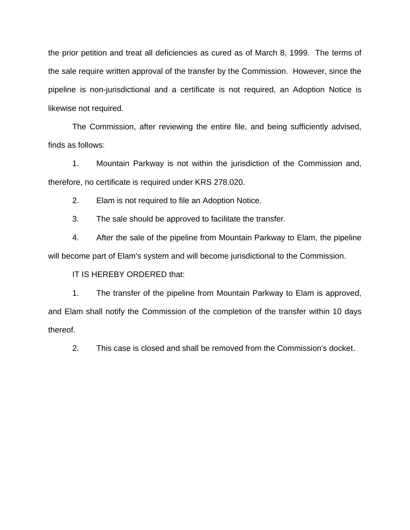the prior petition and treat all deficiencies as cured as of March 8, 1999. The terms of the sale require written approval of the transfer by the Commission. However, since the pipeline is non-jurisdictional and a certificate is not required, an Adoption Notice is likewise not required.

The Commission, after reviewing the entire file, and being sufficiently advised, finds as follows:

1. Mountain Parkway is not within the jurisdiction of the Commission and, therefore, no certificate is required under KRS 278.020.

2. Elam is not required to file an Adoption Notice.

3. The sale should be approved to facilitate the transfer.

4. After the sale of the pipeline from Mountain Parkway to Elam, the pipeline will become part of Elam's system and will become jurisdictional to the Commission.

IT IS HEREBY ORDERED that:

1. The transfer of the pipeline from Mountain Parkway to Elam is approved, and Elam shall notify the Commission of the completion of the transfer within 10 days thereof.

2. This case is closed and shall be removed from the Commission's docket.